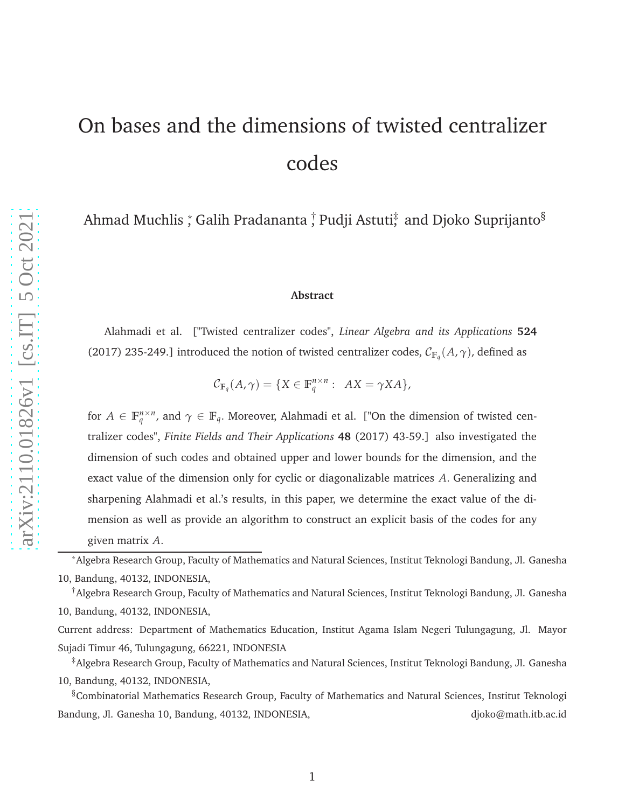# On bases and the dimensions of twisted centralizer codes

Ahmad Muchlis  $\mathring{,}$  Galih Pradananta  $\mathring{,}$  Pudji Astuti $\mathring{,}$  and Djoko Suprijanto $\mathring{^{8}}$ 

#### **Abstract**

Alahmadi et al. ["Twisted centralizer codes", *Linear Algebra and its Applications* **524** (2017) 235-249.] introduced the notion of twisted centralizer codes,  $\mathcal{C}_{\mathbb{F}_q}(A, \gamma)$ , defined as

$$
\mathcal{C}_{\mathbb{F}_q}(A,\gamma) = \{ X \in \mathbb{F}_q^{n \times n} : AX = \gamma XA \},
$$

for  $A \in \mathbb{F}_q^{n \times n}$ , and  $\gamma \in \mathbb{F}_q$ . Moreover, Alahmadi et al. ["On the dimension of twisted centralizer codes", *Finite Fields and Their Applications* **48** (2017) 43-59.] also investigated the dimension of such codes and obtained upper and lower bounds for the dimension, and the exact value of the dimension only for cyclic or diagonalizable matrices *A* . Generalizing and sharpening Alahmadi et al.'s results, in this paper, we determine the exact value of the dimension as well as provide an algorithm to construct an explicit basis of the codes for any given matrix *A* .

\*Algebra Research Group, Faculty of Mathematics and Natural Sciences, Institut Teknologi Bandung, Jl. Ganesha 10, Bandung, 40132, INDONESIA,

†Algebra Research Group, Faculty of Mathematics and Natural Sciences, Institut Teknologi Bandung, Jl. Ganesha 10, Bandung, 40132, INDONESIA,

Current address: Department of Mathematics Education, Institut Agama Islam Negeri Tulungagung, Jl. Mayor Sujadi Timur 46, Tulungagung, 66221, INDONESIA

‡Algebra Research Group, Faculty of Mathematics and Natural Sciences, Institut Teknologi Bandung, Jl. Ganesha 10, Bandung, 40132, INDONESIA,

§Combinatorial Mathematics Research Group, Faculty of Mathematics and Natural Sciences, Institut Teknologi Bandung, Jl. Ganesha 10, Bandung, 40132, INDONESIA, diokomath.itb.ac.id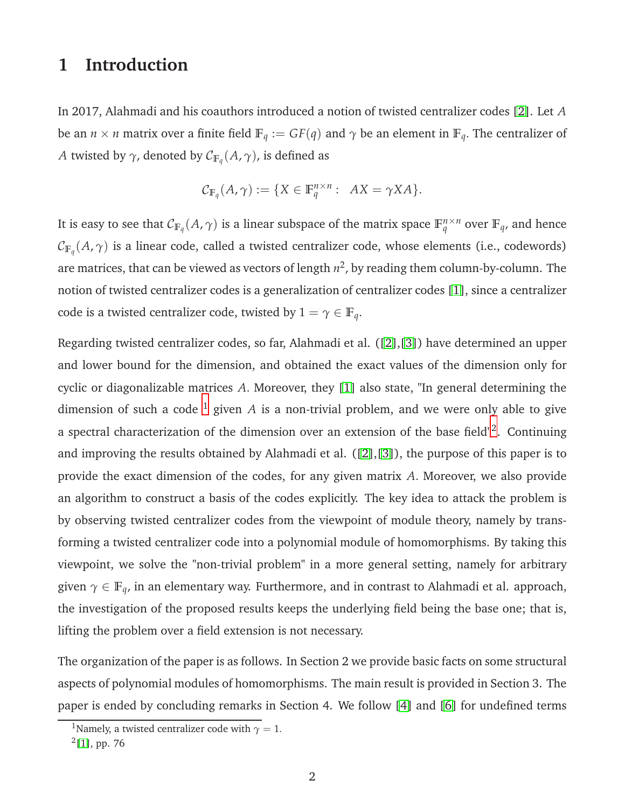### **1 Introduction**

In 2017, Alahmadi and his coauthors introduced a notion of twisted centralizer codes [\[2\]](#page-19-0). Let *A* be an  $n \times n$  matrix over a finite field  $\mathbb{F}_q := GF(q)$  and  $\gamma$  be an element in  $\mathbb{F}_q$ . The centralizer of *A* twisted by  $\gamma$ , denoted by  $\mathcal{C}_{\mathbb{F}_q}(A,\gamma)$ , is defined as

$$
\mathcal{C}_{\mathbb{F}_q}(A,\gamma) := \{ X \in \mathbb{F}_q^{n \times n} : AX = \gamma X A \}.
$$

It is easy to see that  $\mathcal{C}_{\mathbb{F}_q}(A,\gamma)$  is a linear subspace of the matrix space  $\mathbb{F}_q^{n\times n}$  over  $\mathbb{F}_q$ , and hence  $\mathcal{C}_{\mathbb{F}_q}(A,\gamma)$  is a linear code, called a twisted centralizer code, whose elements (i.e., codewords) are matrices, that can be viewed as vectors of length  $n^2$ , by reading them column-by-column. The notion of twisted centralizer codes is a generalization of centralizer codes [\[1\]](#page-19-1), since a centralizer code is a twisted centralizer code, twisted by  $1 = \gamma \in \mathbb{F}_q$ .

Regarding twisted centralizer codes, so far, Alahmadi et al. ([\[2\]](#page-19-0),[\[3\]](#page-19-2)) have determined an upper and lower bound for the dimension, and obtained the exact values of the dimension only for cyclic or diagonalizable matrices *A*. Moreover, they [\[1\]](#page-19-1) also state, "In general determining the dimension of such a code  $<sup>1</sup>$  $<sup>1</sup>$  $<sup>1</sup>$  given A is a non-trivial problem, and we were only able to give</sup> a spectral characterization of the dimension over an extension of the base field"<sup>[2](#page-1-1)</sup>. Continuing and improving the results obtained by Alahmadi et al. ([\[2\]](#page-19-0),[\[3\]](#page-19-2)), the purpose of this paper is to provide the exact dimension of the codes, for any given matrix *A*. Moreover, we also provide an algorithm to construct a basis of the codes explicitly. The key idea to attack the problem is by observing twisted centralizer codes from the viewpoint of module theory, namely by transforming a twisted centralizer code into a polynomial module of homomorphisms. By taking this viewpoint, we solve the "non-trivial problem" in a more general setting, namely for arbitrary given *γ* ∈ **F***q*, in an elementary way. Furthermore, and in contrast to Alahmadi et al. approach, the investigation of the proposed results keeps the underlying field being the base one; that is, lifting the problem over a field extension is not necessary.

The organization of the paper is as follows. In Section 2 we provide basic facts on some structural aspects of polynomial modules of homomorphisms. The main result is provided in Section 3. The paper is ended by concluding remarks in Section 4. We follow [\[4\]](#page-20-0) and [\[6\]](#page-20-1) for undefined terms

<sup>&</sup>lt;sup>1</sup>Namely, a twisted centralizer code with  $\gamma = 1$ .

<span id="page-1-1"></span><span id="page-1-0"></span> $^{2}[1]$  $^{2}[1]$ , pp. 76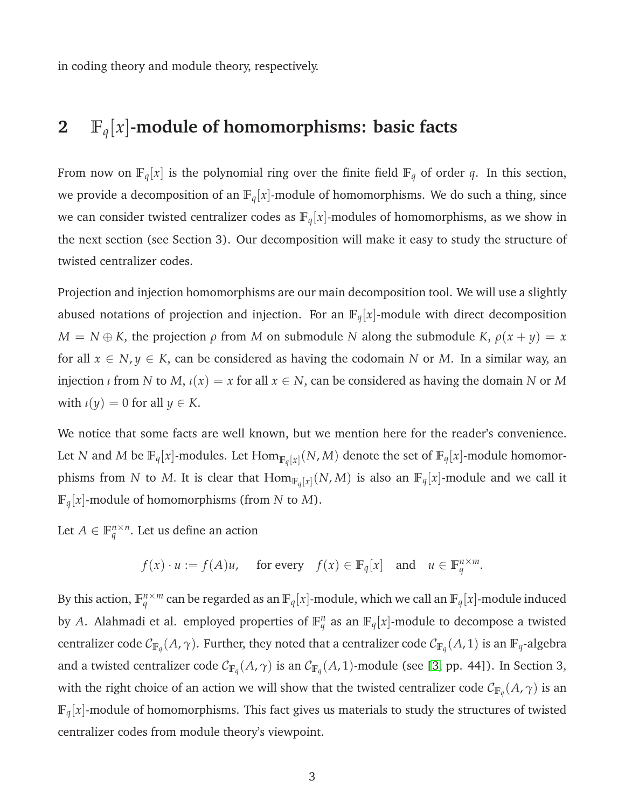in coding theory and module theory, respectively.

# **2 F***q*[*x*]**-module of homomorphisms: basic facts**

From now on  $\mathbb{F}_q[x]$  is the polynomial ring over the finite field  $\mathbb{F}_q$  of order *q*. In this section, we provide a decomposition of an  $\mathbb{F}_q[x]$ -module of homomorphisms. We do such a thing, since we can consider twisted centralizer codes as  $\mathbb{F}_q[x]$ -modules of homomorphisms, as we show in the next section (see Section 3). Our decomposition will make it easy to study the structure of twisted centralizer codes.

Projection and injection homomorphisms are our main decomposition tool. We will use a slightly abused notations of projection and injection. For an  $\mathbb{F}_q[x]$ -module with direct decomposition  $M = N \oplus K$ , the projection  $\rho$  from *M* on submodule *N* along the submodule *K*,  $\rho(x + y) = x$ for all  $x \in N$ ,  $y \in K$ , can be considered as having the codomain *N* or *M*. In a similar way, an injection *ι* from *N* to *M*,  $\iota(x) = x$  for all  $x \in N$ , can be considered as having the domain *N* or *M* with  $\iota(y) = 0$  for all  $y \in K$ .

We notice that some facts are well known, but we mention here for the reader's convenience. Let *N* and *M* be  $\mathbb{F}_q[x]$ -modules. Let  $\text{Hom}_{\mathbb{F}_q[x]}(N,M)$  denote the set of  $\mathbb{F}_q[x]$ -module homomorphisms from *N* to *M*. It is clear that  $\text{Hom}_{\mathbb{F}_q[x]}(N,M)$  is also an  $\mathbb{F}_q[x]$ -module and we call it  $\mathbb{F}_q[x]$ -module of homomorphisms (from *N* to *M*).

Let  $A \in \mathbb{F}_q^{n \times n}$ . Let us define an action

$$
f(x) \cdot u := f(A)u
$$
, for every  $f(x) \in \mathbb{F}_q[x]$  and  $u \in \mathbb{F}_q^{n \times m}$ .

By this action,  $\mathbb{F}_q^{n \times m}$  can be regarded as an  $\mathbb{F}_q[x]$ -module, which we call an  $\mathbb{F}_q[x]$ -module induced by *A*. Alahmadi et al. employed properties of  $\mathbb{F}_q^n$  as an  $\mathbb{F}_q[x]$ -module to decompose a twisted centralizer code  $\mathcal{C}_{\mathbb{F}_q}(A,\gamma)$ . Further, they noted that a centralizer code  $\mathcal{C}_{\mathbb{F}_q}(A,1)$  is an  $\mathbb{F}_q$ -algebra and a twisted centralizer code  $\mathcal{C}_{\mathbb{F}_q}(A,\gamma)$  is an  $\mathcal{C}_{\mathbb{F}_q}(A,1)$ -module (see [\[3,](#page-19-2) pp. 44]). In Section 3, with the right choice of an action we will show that the twisted centralizer code  $\mathcal{C}_{\mathbb{F}_q}(A,\gamma)$  is an  $\mathbb{F}_q[x]$ -module of homomorphisms. This fact gives us materials to study the structures of twisted centralizer codes from module theory's viewpoint.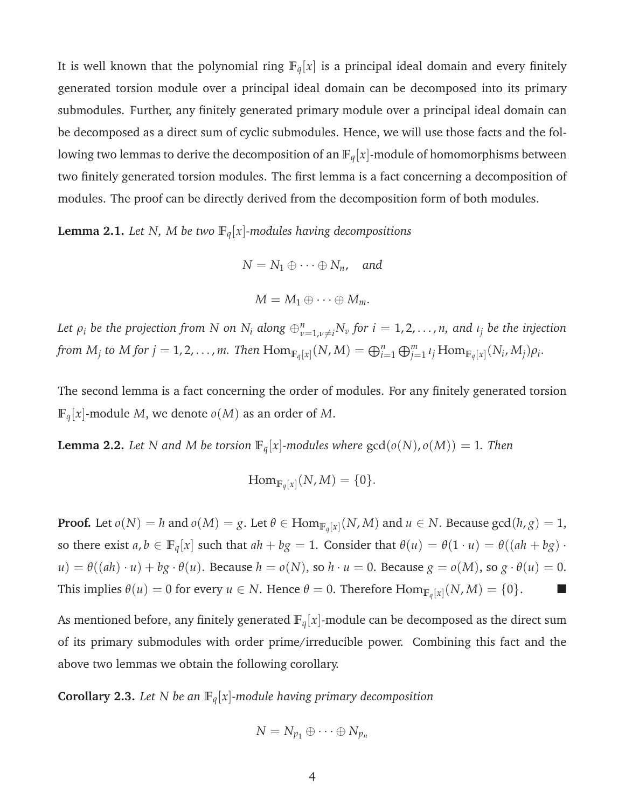It is well known that the polynomial ring  $\mathbb{F}_q[x]$  is a principal ideal domain and every finitely generated torsion module over a principal ideal domain can be decomposed into its primary submodules. Further, any finitely generated primary module over a principal ideal domain can be decomposed as a direct sum of cyclic submodules. Hence, we will use those facts and the following two lemmas to derive the decomposition of an  $\mathbb{F}_q[x]$ -module of homomorphisms between two finitely generated torsion modules. The first lemma is a fact concerning a decomposition of modules. The proof can be directly derived from the decomposition form of both modules.

<span id="page-3-0"></span>**Lemma 2.1.** *Let N, M be two*  $\mathbb{F}_q[x]$ *-modules having decompositions* 

$$
N = N_1 \oplus \cdots \oplus N_n, \text{ and}
$$

$$
M = M_1 \oplus \cdots \oplus M_m.
$$

Let  $\rho_i$  be the projection from N on  $N_i$  along  $\oplus_{\nu=1,\nu\neq i}^nN_\nu$  for  $i=1,2,\ldots,n,$  and  $\iota_j$  be the injection from  $M_j$  to  $M$  for  $j = 1, 2, \ldots, m$ . Then  $\mathrm{Hom}_{\mathbb{F}_q[x]}(N, M) = \bigoplus_{i=1}^n \bigoplus_{j=1}^m \iota_j \, \mathrm{Hom}_{\mathbb{F}_q[x]}(N_i, M_j) \rho_i$ .

The second lemma is a fact concerning the order of modules. For any finitely generated torsion  $\mathbb{F}_q[x]$ -module *M*, we denote  $o(M)$  as an order of *M*.

<span id="page-3-1"></span>**Lemma 2.2.** *Let N and M be torsion*  $\mathbb{F}_q[x]$ *-modules where*  $gcd(o(N), o(M)) = 1$ *. Then* 

$$
\mathrm{Hom}_{\mathbb{F}_q[x]}(N,M)=\{0\}.
$$

**Proof.** Let  $o(N) = h$  and  $o(M) = g$ . Let  $\theta \in \text{Hom}_{\mathbb{F}_q[x]}(N,M)$  and  $u \in N$ . Because  $\gcd(h,g) = 1$ , so there exist  $a, b \in \mathbb{F}_q[x]$  such that  $ah + bg = 1$ . Consider that  $\theta(u) = \theta(1 \cdot u) = \theta((ah + bg) \cdot$  $u$ ) =  $\theta((ah) \cdot u) + bg \cdot \theta(u)$ . Because  $h = o(N)$ , so  $h \cdot u = 0$ . Because  $g = o(M)$ , so  $g \cdot \theta(u) = 0$ . This implies  $\theta(u) = 0$  for every  $u \in N$ . Hence  $\theta = 0$ . Therefore  $\text{Hom}_{\mathbb{F}_q[x]}(N, M) = \{0\}$ .

As mentioned before, any finitely generated  $\mathbb{F}_q[x]$ -module can be decomposed as the direct sum of its primary submodules with order prime/irreducible power. Combining this fact and the above two lemmas we obtain the following corollary.

**Corollary 2.3.** *Let N be an*  $\mathbb{F}_q[x]$ *-module having primary decomposition* 

$$
N=N_{p_1}\oplus\cdots\oplus N_{p_n}
$$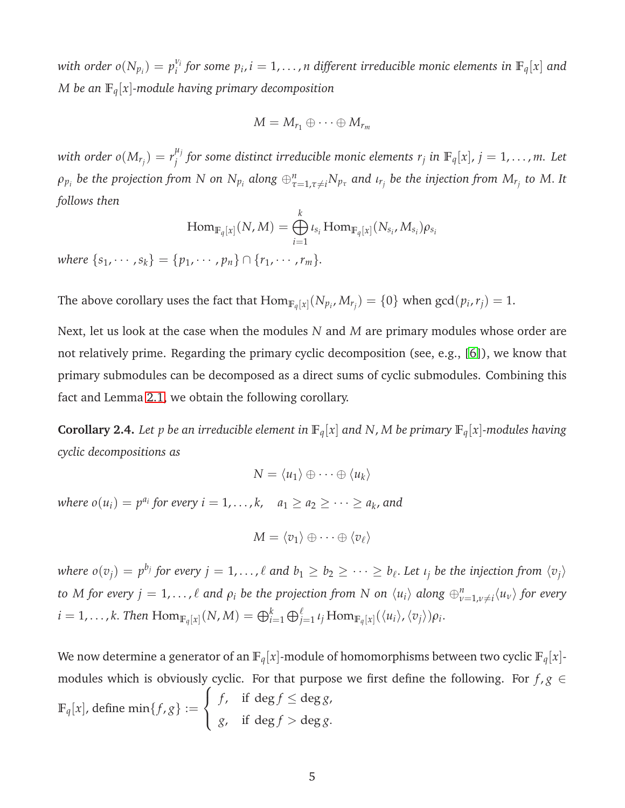*with order*  $o(N_{p_i}) = p_i^{\nu_i}$  $e^{v_i}$  *for some*  $p_i$ *,*  $i=1,\ldots,n$  *different irreducible monic elements in*  $\mathbb{F}_q[x]$  *and M be an* **F***q*[*x*]*-module having primary decomposition*

$$
M=M_{r_1}\oplus\cdots\oplus M_{r_m}
$$

*with order*  $o(M_{r_j}) = r_j^{\mu_j}$ *j for some distinct irreducible monic elements r<sup>j</sup> in* **F***q*[*x*], *j* = 1, . . . , *m. Let*  $\rho_{p_i}$  be the projection from N on  $N_{p_i}$  along  $\oplus_{\tau=1,\tau\neq i}^nN_{p_\tau}$  and  $\iota_{r_j}$  be the injection from  $M_{r_j}$  to M. It *follows then*

$$
\operatorname{Hom}_{\mathbb{F}_q[x]}(N,M) = \bigoplus_{i=1}^k \iota_{s_i} \operatorname{Hom}_{\mathbb{F}_q[x]}(N_{s_i}, M_{s_i}) \rho_{s_i}
$$

*where*  ${s_1, \dots, s_k} = {p_1, \dots, p_n} \cap {r_1, \dots, r_m}$ .

The above corollary uses the fact that  $\text{Hom}_{\mathbb{F}_q[x]}(N_{p_i},M_{r_j})=\{0\}$  when  $\gcd(p_i,r_j)=1.$ 

Next, let us look at the case when the modules *N* and *M* are primary modules whose order are not relatively prime. Regarding the primary cyclic decomposition (see, e.g., [\[6\]](#page-20-1)), we know that primary submodules can be decomposed as a direct sums of cyclic submodules. Combining this fact and Lemma [2.1,](#page-3-0) we obtain the following corollary.

**Corollary 2.4.** Let p be an irreducible element in  $\mathbb{F}_q[x]$  and N, M be primary  $\mathbb{F}_q[x]$ *-modules having cyclic decompositions as*

$$
N = \langle u_1 \rangle \oplus \cdots \oplus \langle u_k \rangle
$$

*where*  $o(u_i) = p^{a_i}$  for every  $i = 1, ..., k$ ,  $a_1 \ge a_2 \ge ... \ge a_k$ , and

$$
M = \langle v_1 \rangle \oplus \cdots \oplus \langle v_\ell \rangle
$$

where  $o(v_j)=p^{b_j}$  for every  $j=1,\ldots,\ell$  and  $b_1\ge b_2\ge\cdots\ge b_\ell.$  Let  $\iota_j$  be the injection from  $\langle v_j\rangle$ to M for every  $j=1,\ldots,\ell$  and  $\rho_i$  be the projection from N on  $\langle u_i\rangle$  along  $\oplus_{\nu=1,\nu\neq i}^n\langle u_\nu\rangle$  for every  $i = 1, ..., k$ . Then  $\text{Hom}_{\mathbb{F}_q[x]}(N, M) = \bigoplus_{i=1}^k \bigoplus_{j=1}^\ell \iota_j \text{Hom}_{\mathbb{F}_q[x]}(\langle u_i \rangle, \langle v_j \rangle) \rho_i$ .

We now determine a generator of an  $\mathbb{F}_q[x]$ -module of homomorphisms between two cyclic  $\mathbb{F}_q[x]$ modules which is obviously cyclic. For that purpose we first define the following. For  $f, g \in$  $\mathbb{F}_q[x]$ , define min $\{f, g\} :=$  $\sqrt{ }$  $\int$  $\mathcal{L}$ *f*, if  $\deg f \le \deg g$ , *g*, if  $\deg f > \deg g$ .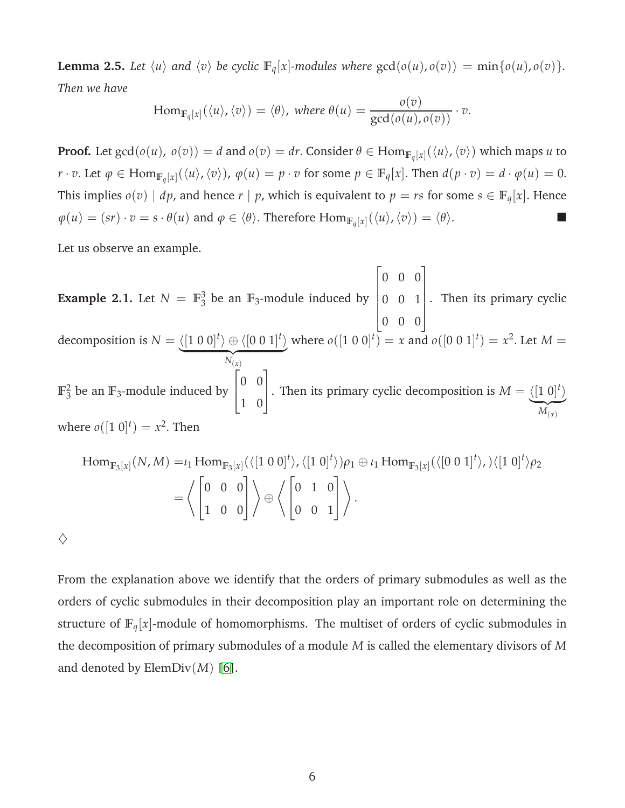<span id="page-5-0"></span>**Lemma 2.5.** Let  $\langle u \rangle$  and  $\langle v \rangle$  be cyclic  $\mathbb{F}_q[x]$ -modules where  $gcd(o(u), o(v)) = min\{o(u), o(v)\}.$ *Then we have*

$$
\operatorname{Hom}_{\mathbb{F}_q[x]}(\langle u \rangle, \langle v \rangle) = \langle \theta \rangle, \text{ where } \theta(u) = \frac{o(v)}{\gcd(o(u), o(v))} \cdot v.
$$

**Proof.** Let  $\gcd(o(u),\ o(v))=d$  and  $o(v)=dr.$  Consider  $\theta\in\text{Hom}_{\mathbb{F}_q[x]}(\langle u\rangle,\langle v\rangle)$  which maps  $u$  to  $r \cdot v$ . Let  $\varphi \in \text{Hom}_{\mathbb{F}_q[x]}(\langle u \rangle, \langle v \rangle), \varphi(u) = p \cdot v$  for some  $p \in \mathbb{F}_q[x]$ . Then  $d(p \cdot v) = d \cdot \varphi(u) = 0$ . This implies  $o(v) \mid dp$ , and hence  $r \mid p$ , which is equivalent to  $p = rs$  for some  $s \in \mathbb{F}_q[x]$ . Hence  $\varphi(u) = (sr) \cdot v = s \cdot \theta(u)$  and  $\varphi \in \langle \theta \rangle$ . Therefore  $\text{Hom}_{\mathbb{F}_q[x]}(\langle u \rangle, \langle v \rangle) = \langle \theta \rangle$ .

Let us observe an example.

**Example 2.1.** Let  $N = \mathbb{F}_3^3$  $3<sub>3</sub>$  be an  $\mathbb{F}_3$ -module induced by  $\sqrt{ }$  $\begin{array}{c} \begin{array}{c} \begin{array}{c} \end{array} \\ \begin{array}{c} \end{array} \end{array} \end{array}$ 0 0 0 0 0 1 0 0 0 1  $\begin{array}{c} \n\end{array}$ . Then its primary cyclic decomposition is  $N = \langle [1 \ 0 \ 0]^t \rangle \oplus \langle [0 \ 0 \ 1]^t \rangle$  $N(x)$ where  $o([1 \ 0 \ 0]^t) = x$  and  $o([0 \ 0 \ 1]^t) = x^2$ . Let  $M =$  $\mathbb{F}_2^2$  $_3^2$  be an  $\mathbb{F}_3$ -module induced by  $\sqrt{ }$  $\overline{1}$ 0 0 1 0 1 . Then its primary cyclic decomposition is  $M = \langle [1 \ 0]^t \rangle$  ${M_{(x)}}$ where  $o([1 \ 0]^t) = x^2$ . Then

$$
\text{Hom}_{\mathbb{F}_3[x]}(N,M) = \iota_1 \text{Hom}_{\mathbb{F}_3[x]}(\langle [1\ 0\ 0]^t \rangle, \langle [1\ 0]^t \rangle) \rho_1 \oplus \iota_1 \text{Hom}_{\mathbb{F}_3[x]}(\langle [0\ 0\ 1]^t \rangle, \rangle \langle [1\ 0]^t \rangle \rho_2
$$
\n
$$
= \left\langle \begin{bmatrix} 0 & 0 & 0 \\ 1 & 0 & 0 \end{bmatrix} \right\rangle \oplus \left\langle \begin{bmatrix} 0 & 1 & 0 \\ 0 & 0 & 1 \end{bmatrix} \right\rangle.
$$

 $\diamondsuit$ 

From the explanation above we identify that the orders of primary submodules as well as the orders of cyclic submodules in their decomposition play an important role on determining the structure of **F***q*[*x*]-module of homomorphisms. The multiset of orders of cyclic submodules in the decomposition of primary submodules of a module *M* is called the elementary divisors of *M* and denoted by ElemDiv(*M*) [\[6\]](#page-20-1).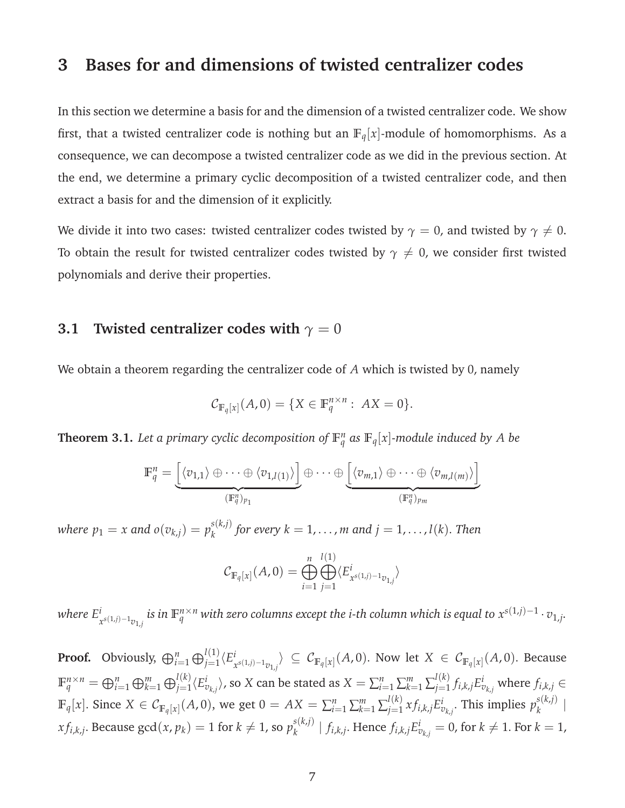### **3 Bases for and dimensions of twisted centralizer codes**

In this section we determine a basis for and the dimension of a twisted centralizer code. We show first, that a twisted centralizer code is nothing but an  $\mathbb{F}_q[x]$ -module of homomorphisms. As a consequence, we can decompose a twisted centralizer code as we did in the previous section. At the end, we determine a primary cyclic decomposition of a twisted centralizer code, and then extract a basis for and the dimension of it explicitly.

We divide it into two cases: twisted centralizer codes twisted by  $\gamma = 0$ , and twisted by  $\gamma \neq 0$ . To obtain the result for twisted centralizer codes twisted by  $\gamma \neq 0$ , we consider first twisted polynomials and derive their properties.

### **3.1 Twisted centralizer codes with**  $\gamma = 0$

We obtain a theorem regarding the centralizer code of *A* which is twisted by 0, namely

$$
\mathcal{C}_{\mathbb{F}_q[x]}(A,0) = \{ X \in \mathbb{F}_q^{n \times n} : AX = 0 \}.
$$

<span id="page-6-0"></span>**Theorem 3.1.** Let a primary cyclic decomposition of  $\mathbb{F}_q^n$  as  $\mathbb{F}_q[x]$ -module induced by A be

$$
\mathbb{F}_q^n = \underbrace{\left[ \langle v_{1,1} \rangle \oplus \cdots \oplus \langle v_{1,l(1)} \rangle \right]}_{(\mathbb{F}_q^n)_{p_1}} \oplus \cdots \oplus \underbrace{\left[ \langle v_{m,1} \rangle \oplus \cdots \oplus \langle v_{m,l(m)} \rangle \right]}_{(\mathbb{F}_q^n)_{p_m}}
$$

*where*  $p_1 = x$  *and*  $o(v_{k,j}) = p_k^{s(k,j)}$  $f_k^{(k,j)}$  for every  $k = 1, \ldots, m$  and  $j = 1, \ldots, l(k)$ . Then

$$
C_{\mathbb{F}_q[x]}(A,0) = \bigoplus_{i=1}^n \bigoplus_{j=1}^{l(1)} \langle E^i_{x^{s(1,j)-1}v_{1,j}} \rangle
$$

*where E i*  $_{x^{s(1,j)-1}v_{1,j}}^i$  is in  $\mathbb{F}_q^{n\times n}$  with zero columns except the i-th column which is equal to  $x^{s(1,j)-1}\cdot v_{1,j}.$ 

**Proof.** Obviously,  $\bigoplus_{i=1}^{n} \bigoplus_{j=1}^{l(1)} \langle E_j^i \rangle$  $\mathcal{C}^{\iota}_{\mathbb{F}_{q}[x]\setminus[-1_{\mathcal{V}_{1,j}}$}\rangle\ \subseteq\ \mathcal{C}_{\mathbb{F}_{q}[x]}(A,0).$  Now let  $X\ \in\ \mathcal{C}_{\mathbb{F}_{q}[x]}(A,0).$  Because  $\mathbb{F}_q^{n\times n}=\oplus_{i=1}^n\oplus_{k=1}^m\oplus_{j=1}^{l(k)}\langle E_{v_{kj}}^i\rangle$ , so  $X$  can be stated as  $X=\sum_{i=1}^n\sum_{k=1}^m\sum_{j=1}^{l(k)}$  $f^{l(k)}_{j=1} f_{i,k,j} E^i_{v_{k,j}}$  where  $f_{i,k,j} \in$  $\mathbb{F}_q[x]$ . Since  $X \in \mathcal{C}_{\mathbb{F}_q[x]}(A,0)$ , we get  $0 = AX = \sum_{i=1}^n \sum_{k=1}^m \sum_{j=1}^{l(k)}$  $j_{j=1}^{l(k)}xf_{i,k,j}E_{v_{k,j}}^{i}$ . This implies  $p_{k}^{s(k,j)}$ *k* |  $xf_{i,k,j}$ . Because  $\gcd(x,p_k) = 1$  for  $k \neq 1$ , so  $p_k^{s(k,j)}$  $f_{ik,j}^{s(k,l)} \mid f_{i,k,j}.$  Hence  $f_{i,k,j}E_{v_{k,j}}^i = 0$ , for  $k \neq 1.$  For  $k = 1$ ,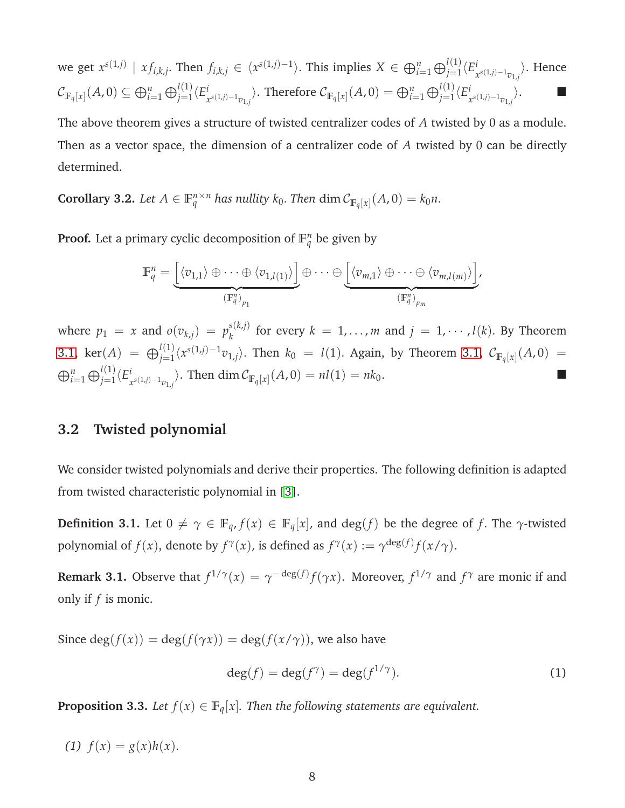we get 
$$
x^{s(1,j)} | x f_{i,k,j}
$$
. Then  $f_{i,k,j} \in \langle x^{s(1,j)-1} \rangle$ . This implies  $X \in \bigoplus_{i=1}^n \bigoplus_{j=1}^{l(1)} \langle E_{x^{s(1,j)-1}v_{1,j}}^i \rangle$ . Hence  

$$
C_{\mathbb{F}_q[x]}(A,0) \subseteq \bigoplus_{i=1}^n \bigoplus_{j=1}^{l(1)} \langle E_{x^{s(1,j)-1}v_{1,j}}^i \rangle
$$
. Therefore  $C_{\mathbb{F}_q[x]}(A,0) = \bigoplus_{i=1}^n \bigoplus_{j=1}^{l(1)} \langle E_{x^{s(1,j)-1}v_{1,j}}^i \rangle$ .

The above theorem gives a structure of twisted centralizer codes of *A* twisted by 0 as a module. Then as a vector space, the dimension of a centralizer code of *A* twisted by 0 can be directly determined.

**Corollary 3.2.** Let  $A \in \mathbb{F}_q^{n \times n}$  has nullity  $k_0$ . Then  $\dim \mathcal{C}_{\mathbb{F}_q[x]}(A, 0) = k_0 n$ .

**Proof.** Let a primary cyclic decomposition of  $\mathbb{F}_q^n$  be given by

$$
\mathbb{F}_q^n = \underbrace{\left[ \langle v_{1,1} \rangle \oplus \cdots \oplus \langle v_{1,l(1)} \rangle \right]}_{(\mathbb{F}_q^n)_{p_1}} \oplus \cdots \oplus \underbrace{\left[ \langle v_{m,1} \rangle \oplus \cdots \oplus \langle v_{m,l(m)} \rangle \right]}_{(\mathbb{F}_q^n)_{p_m}}.
$$

where  $p_1 = x$  and  $o(v_{k,j}) = p_k^{s(k,j)}$  $f_k^{(k,j)}$  for every  $k = 1, ..., m$  and  $j = 1, ..., l(k)$ . By Theorem [3.1,](#page-6-0)  $\text{ker}(A) = \bigoplus_{j=1}^{l(1)} \langle x^{s(1,j)-1}v_{1,j} \rangle$ . Then  $k_0 = l(1)$ . Again, by Theorem [3.1,](#page-6-0)  $\mathcal{C}_{\mathbb{F}_q[x]}(A,0) =$  $\bigoplus_{i=1}^n\bigoplus_{j=1}^{l(1)}\langle E^i_j$  $\int_{x^{s(1,j)-1}v_{1,j}}$ . Then dim  $C_{\mathbb{F}_q[x]}(A,0) = nl(1) = nk_0$ . ■

#### **3.2 Twisted polynomial**

We consider twisted polynomials and derive their properties. The following definition is adapted from twisted characteristic polynomial in [\[3\]](#page-19-2).

**Definition 3.1.** Let  $0 \neq \gamma \in \mathbb{F}_q$ ,  $f(x) \in \mathbb{F}_q[x]$ , and  $\deg(f)$  be the degree of *f*. The  $\gamma$ -twisted polynomial of  $f(x)$ , denote by  $f^{\gamma}(x)$ , is defined as  $f^{\gamma}(x) := \gamma^{\deg(f)} f(x/\gamma)$ .

**Remark 3.1.** Observe that  $f^{1/\gamma}(x) = \gamma^{-\deg(f)} f(\gamma x)$ . Moreover,  $f^{1/\gamma}$  and  $f^{\gamma}$  are monic if and only if *f* is monic.

Since deg( $f(x)$ ) = deg( $f(\gamma x)$ ) = deg( $f(x/\gamma)$ ), we also have

<span id="page-7-0"></span>
$$
\deg(f) = \deg(f^{\gamma}) = \deg(f^{1/\gamma}).\tag{1}
$$

<span id="page-7-1"></span>**Proposition 3.3.** *Let*  $f(x) \in \mathbb{F}_q[x]$ *. Then the following statements are equivalent.* 

(1)  $f(x) = g(x)h(x)$ .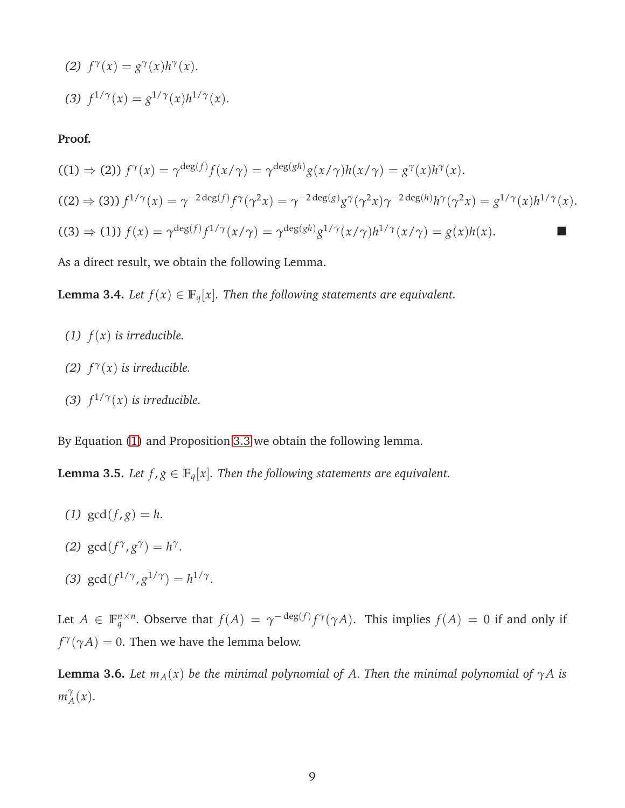(2) 
$$
f^{\gamma}(x) = g^{\gamma}(x)h^{\gamma}(x).
$$
  
(3) 
$$
f^{1/\gamma}(x) = g^{1/\gamma}(x)h^{1/\gamma}(x).
$$

#### **Proof.**

$$
((1) \Rightarrow (2)) f^{\gamma}(x) = \gamma^{\deg(f)} f(x/\gamma) = \gamma^{\deg(gh)} g(x/\gamma) h(x/\gamma) = g^{\gamma}(x) h^{\gamma}(x).
$$
  

$$
((2) \Rightarrow (3)) f^{1/\gamma}(x) = \gamma^{-2 \deg(f)} f^{\gamma}(\gamma^2 x) = \gamma^{-2 \deg(g)} g^{\gamma}(\gamma^2 x) \gamma^{-2 \deg(h)} h^{\gamma}(\gamma^2 x) = g^{1/\gamma}(x) h^{1/\gamma}(x).
$$
  

$$
((3) \Rightarrow (1)) f(x) = \gamma^{\deg(f)} f^{1/\gamma}(x/\gamma) = \gamma^{\deg(gh)} g^{1/\gamma}(x/\gamma) h^{1/\gamma}(x/\gamma) = g(x) h(x).
$$

As a direct result, we obtain the following Lemma.

**Lemma 3.4.** *Let*  $f(x) \in \mathbb{F}_q[x]$ *. Then the following statements are equivalent.* 

- (1)  $f(x)$  *is irreducible.*
- *(2)*  $f^{\gamma}(x)$  *is irreducible.*
- *(3)*  $f^{1/\gamma}(x)$  *is irreducible.*

By Equation [\(1\)](#page-7-0) and Proposition [3.3](#page-7-1) we obtain the following lemma.

**Lemma 3.5.** *Let*  $f$ ,  $g \in \mathbb{F}_q[x]$ *. Then the following statements are equivalent.* 

- (1)  $gcd(f,g) = h$ .
- *(2)*  $gcd(f^{\gamma}, g^{\gamma}) = h^{\gamma}$ .
- (3)  $gcd(f^{1/\gamma}, g^{1/\gamma}) = h^{1/\gamma}$ .

Let  $A \in \mathbb{F}_q^{n \times n}$ . Observe that  $f(A) = \gamma^{-\deg(f)} f^{\gamma}(\gamma A)$ . This implies  $f(A) = 0$  if and only if  $f^{\gamma}(\gamma A) = 0$ . Then we have the lemma below.

<span id="page-8-0"></span>**Lemma 3.6.** *Let*  $m_A(x)$  *be the minimal polynomial of A. Then the minimal polynomial of*  $\gamma A$  *is m γ*  $A^{\gamma}(x)$ .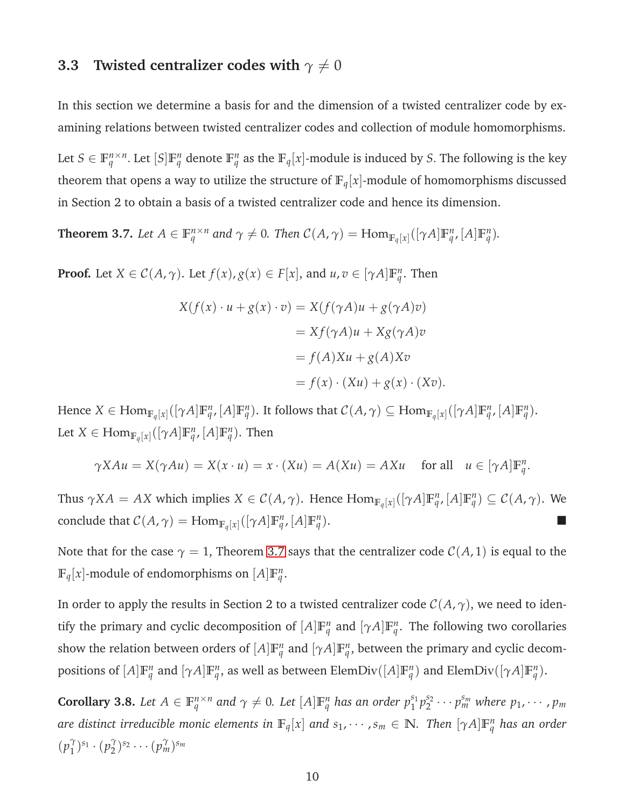### **3.3** Twisted centralizer codes with  $\gamma \neq 0$

In this section we determine a basis for and the dimension of a twisted centralizer code by examining relations between twisted centralizer codes and collection of module homomorphisms.

Let  $S \in \mathbb{F}_q^{n \times n}$ . Let  $[S] \mathbb{F}_q^n$  denote  $\mathbb{F}_q^n$  as the  $\mathbb{F}_q[x]$ -module is induced by *S*. The following is the key theorem that opens a way to utilize the structure of  $\mathbb{F}_q[x]$ -module of homomorphisms discussed in Section 2 to obtain a basis of a twisted centralizer code and hence its dimension.

<span id="page-9-0"></span>**Theorem 3.7.** Let  $A \in \mathbb{F}_q^{n \times n}$  and  $\gamma \neq 0$ . Then  $C(A, \gamma) = \text{Hom}_{\mathbb{F}_q[x]}([\gamma A] \mathbb{F}_q^n, [A] \mathbb{F}_q^n)$ .

**Proof.** Let  $X \in \mathcal{C}(A, \gamma)$ . Let  $f(x), g(x) \in F[x]$ , and  $u, v \in [\gamma A] \mathbb{F}_q^n$ . Then

$$
X(f(x) \cdot u + g(x) \cdot v) = X(f(\gamma A)u + g(\gamma A)v)
$$
  
=  $Xf(\gamma A)u + Xg(\gamma A)v$   
=  $f(A)Xu + g(A)Xv$   
=  $f(x) \cdot (Xu) + g(x) \cdot (Xv)$ .

Hence  $X \in \text{Hom}_{\mathbb{F}_q[x]}([\gamma A]\mathbb{F}_q^n,[A]\mathbb{F}_q^n)$ . It follows that  $\mathcal{C}(A,\gamma) \subseteq \text{Hom}_{\mathbb{F}_q[x]}([\gamma A]\mathbb{F}_q^n,[A]\mathbb{F}_q^n)$ . Let  $X \in \text{Hom}_{\mathbb{F}_q[x]}([\gamma A]\mathbb{F}_q^n,[A]\mathbb{F}_q^n)$ . Then

$$
\gamma X A u = X(\gamma A u) = X(x \cdot u) = x \cdot (X u) = A(X u) = A X u \quad \text{for all} \quad u \in [\gamma A] \mathbb{F}_q^n.
$$

Thus  $\gamma X A = AX$  which implies  $X \in \mathcal{C}(A, \gamma)$ . Hence  $\text{Hom}_{\mathbb{F}_q[x]}([\gamma A]\mathbb{F}_q^n, [A]\mathbb{F}_q^n) \subseteq \mathcal{C}(A, \gamma)$ . We conclude that  $\mathcal{C}(A, \gamma) = \text{Hom}_{\mathbb{F}_q[x]}([\gamma A] \mathbb{F}_q^n, [A] \mathbb{F}_q^n)$  $\Box$ 

Note that for the case  $\gamma = 1$ , Theorem [3.7](#page-9-0) says that the centralizer code  $\mathcal{C}(A, 1)$  is equal to the  $\mathbb{F}_q[x]$ -module of endomorphisms on  $[A]\mathbb{F}_q^n$ .

In order to apply the results in Section 2 to a twisted centralizer code  $C(A, \gamma)$ , we need to identify the primary and cyclic decomposition of  $[A]\mathbb{F}_q^n$  and  $[\gamma A]\mathbb{F}_q^n$ . The following two corollaries show the relation between orders of  $[A]\mathbb{F}_q^n$  and  $[\gamma A]\mathbb{F}_q^n$ , between the primary and cyclic decompositions of  $[A]\mathbb{F}_q^n$  and  $[\gamma A]\mathbb{F}_q^n$ , as well as between ElemDiv $([A]\mathbb{F}_q^n)$  and ElemDiv $([\gamma A]\mathbb{F}_q^n)$ .

<span id="page-9-1"></span>**Corollary 3.8.** Let  $A \in \mathbb{F}_q^{n \times n}$  and  $\gamma \neq 0$ . Let  $[A] \mathbb{F}_q^n$  has an order  $p_1^{s_1}$  ${}^{s_1}_{1}p_2^{s_2}$  $p_1^{s_2} \cdots p_m^{s_m}$  where  $p_1, \cdots, p_m$  $a$ re distinct irreducible monic elements in  $\mathbb{F}_q[x]$  and  $s_1, \cdots, s_m \in \mathbb{N}$ . Then  $[\gamma A]\mathbb{F}_q^n$  has an order  $(p_1^{\gamma})$  $({p}_{1}^{\gamma})^{s_{1}}\cdot({p}_{2}^{\gamma})$  $(\hat{p}_m^{\gamma})^{s_2} \cdots (\hat{p}_m^{\gamma})^{s_m}$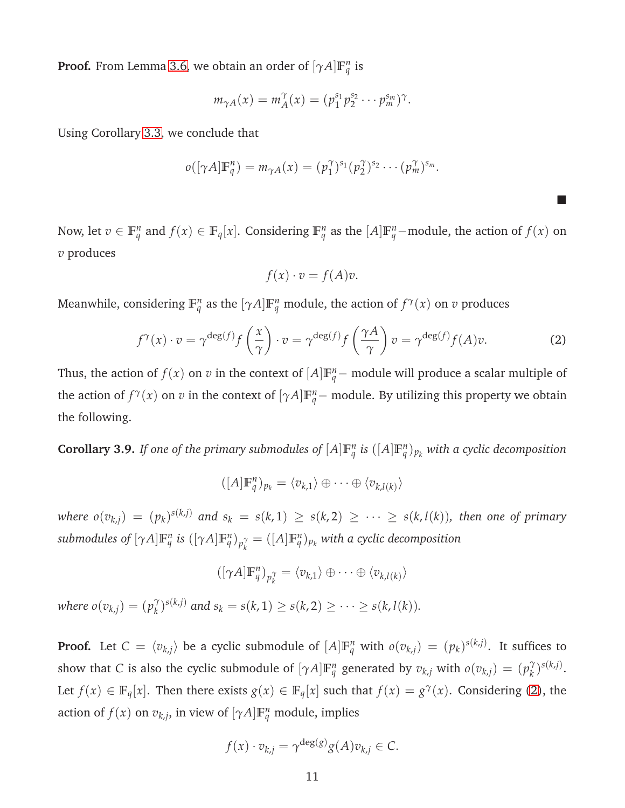**Proof.** From Lemma [3.6,](#page-8-0) we obtain an order of  $[\gamma A]\mathbb{F}_q^n$  is

$$
m_{\gamma A}(x) = m_A^{\gamma}(x) = (p_1^{s_1} p_2^{s_2} \cdots p_m^{s_m})^{\gamma}.
$$

Using Corollary [3.3,](#page-7-1) we conclude that

$$
o([\gamma A]\mathbb{F}_q^n)=m_{\gamma A}(x)=(p_1^{\gamma})^{s_1}(p_2^{\gamma})^{s_2}\cdots(p_m^{\gamma})^{s_m}.
$$

Now, let  $v \in \mathbb{F}_q^n$  and  $f(x) \in \mathbb{F}_q[x]$ . Considering  $\mathbb{F}_q^n$  as the  $[A]\mathbb{F}_q^n$ -module, the action of  $f(x)$  on *v* produces

$$
f(x) \cdot v = f(A)v.
$$

Meanwhile, considering  $\mathbb{F}_q^n$  as the  $[\gamma A]\mathbb{F}_q^n$  module, the action of  $f^\gamma(x)$  on  $v$  produces

<span id="page-10-0"></span>
$$
f^{\gamma}(x) \cdot v = \gamma^{\deg(f)} f\left(\frac{x}{\gamma}\right) \cdot v = \gamma^{\deg(f)} f\left(\frac{\gamma A}{\gamma}\right) v = \gamma^{\deg(f)} f(A) v. \tag{2}
$$

 $\blacksquare$ 

Thus, the action of  $f(x)$  on  $v$  in the context of  $[A]\mathbb{F}_q^n$  – module will produce a scalar multiple of the action of  $f^{\gamma}(x)$  on *v* in the context of  $[\gamma A]\mathbb{F}_q^n$  – module. By utilizing this property we obtain the following.

<span id="page-10-1"></span>**Corollary 3.9.** *If one of the primary submodules of*  $[A]\mathbb{F}_q^n$  *is*  $([A]\mathbb{F}_q^n)_{p_k}$  *with a cyclic decomposition* 

$$
([A]\mathbb{F}_q^n)_{p_k} = \langle v_{k,1} \rangle \oplus \cdots \oplus \langle v_{k,l(k)} \rangle
$$

where  $o(v_{k,j})\ =\ (p_k)^{s(k,j)}$  and  $s_k\ =\ s(k,1)\ \geq\ s(k,2)\ \geq\ \cdots\ \geq\ s(k,l(k)),$  then one of primary submodules of  $[\gamma A]\mathbb{F}_q^n$  is  $([\gamma A]\mathbb{F}_q^n)_{p_k^\gamma} = ([A]\mathbb{F}_q^n)_{p_k}$  with a cyclic decomposition

$$
([\gamma A]\mathbb{F}_q^n)_{p_k^\gamma} = \langle v_{k,1} \rangle \oplus \cdots \oplus \langle v_{k,l(k)} \rangle
$$

*where*  $o(v_{k,j}) = (p_k^{\gamma})$ *f*<sub>*k*</sub>)<sup>*s*(*k,j*)</sub> *and s*<sub>*k*</sub> = *s*(*k*, 1) ≥ *s*(*k*, 2) ≥ · · · ≥ *s*(*k*, *l*(*k*)).</sup>

**Proof.** Let  $C = \langle v_{k,j} \rangle$  be a cyclic submodule of  $[A]\mathbb{F}_q^n$  with  $o(v_{k,j}) = (p_k)^{s(k,j)}$ . It suffices to show that *C* is also the cyclic submodule of  $[\gamma A]\mathbb{F}_q^n$  generated by  $v_{k,j}$  with  $o(v_{k,j}) = (p_k^{\gamma})$ *k* ) *s*(*k*,*j*) . Let  $f(x) \in \mathbb{F}_q[x]$ . Then there exists  $g(x) \in \mathbb{F}_q[x]$  such that  $f(x) = g^{\gamma}(x)$ . Considering [\(2\)](#page-10-0), the action of  $f(x)$  on  $v_{k,j}$ , in view of  $[\gamma A]\mathbb{F}_q^n$  module, implies

$$
f(x) \cdot v_{k,j} = \gamma^{\deg(g)} g(A) v_{k,j} \in C.
$$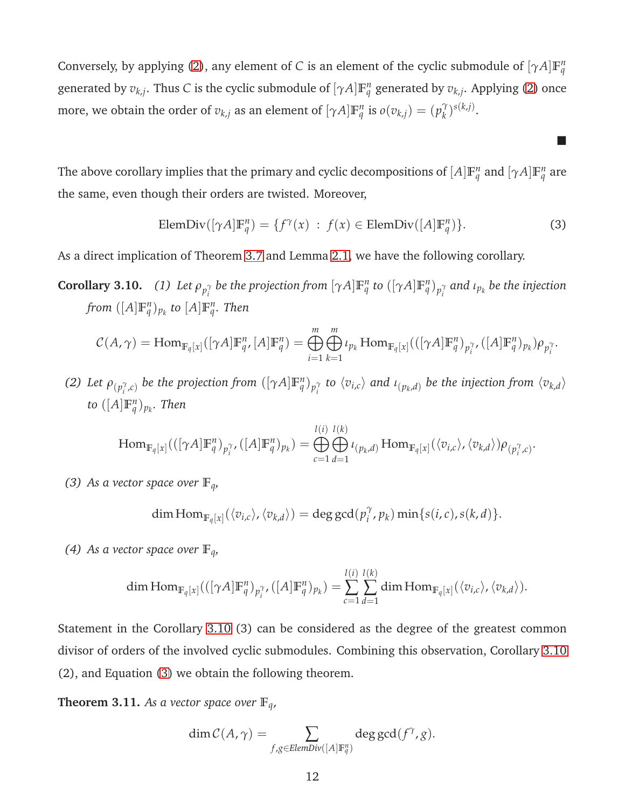Conversely, by applying [\(2\)](#page-10-0), any element of *C* is an element of the cyclic submodule of  $[\gamma A]\mathbb{F}_q^n$ generated by  $v_{k,j}$ . Thus *C* is the cyclic submodule of  $[\gamma A]\mathbb{F}_q^n$  generated by  $v_{k,j}$ . Applying [\(2\)](#page-10-0) once more, we obtain the order of  $v_{k,j}$  as an element of  $[\gamma A]\mathbb{F}_q^n$  is  $o(v_{k,j}) = (p_k^{\gamma})^2$  $\binom{\gamma}{k}$ s $(k,j)$ .

The above corollary implies that the primary and cyclic decompositions of  $[A]\mathbb{F}_q^n$  and  $[\gamma A]\mathbb{F}_q^n$  are the same, even though their orders are twisted. Moreover,

<span id="page-11-0"></span>
$$
\text{ElemDiv}([\gamma A]\mathbb{F}_q^n) = \{f^\gamma(x) : f(x) \in \text{ElemDiv}([A]\mathbb{F}_q^n)\}. \tag{3}
$$

**The State** 

As a direct implication of Theorem [3.7](#page-9-0) and Lemma [2.1,](#page-3-0) we have the following corollary.

**Corollary 3.10.** (1) Let  $\rho_{p_i^{\gamma}}$  be the projection from  $[\gamma A]\mathbb{F}_q^n$  to  $([\gamma A]\mathbb{F}_q^n)_{p_i^{\gamma}}$  and  $\iota_{p_k}$  be the injection  $from \ ([A] \mathbb{F}_q^n)_{p_k}$  to  $[A] \mathbb{F}_q^n$ . Then

$$
C(A,\gamma)=\operatorname{Hom}_{\mathbb{F}_q[x]}([\gamma A]\mathbb{F}_q^n,[A]\mathbb{F}_q^n)=\bigoplus_{i=1}^m\bigoplus_{k=1}^m\iota_{p_k}\operatorname{Hom}_{\mathbb{F}_q[x]}(([\gamma A]\mathbb{F}_q^n)_{p_i^\gamma},([A]\mathbb{F}_q^n)_{p_k})\rho_{p_i^\gamma}.
$$

(2) Let  $\rho_{(p_i^{\gamma},c)}$  be the projection from  $([\gamma A]\mathbb{F}_q^n)_{p_i^{\gamma}}$  to  $\langle v_{i,c}\rangle$  and  $\iota_{(p_k,d)}$  be the injection from  $\langle v_{k,d}\rangle$ to  $([A] \mathbb{F}_q^n)_{p_k}$ . Then

$$
\operatorname{Hom}_{\mathbb{F}_q[x]}(([\gamma A]\mathbb{F}_q^n)_{p_i^{\gamma}} , ([A]\mathbb{F}_q^n)_{p_k}) = \bigoplus_{c=1}^{l(i)} \bigoplus_{d=1}^{l(k)} \iota_{(p_k,d)} \operatorname{Hom}_{\mathbb{F}_q[x]}(\langle v_{i,c} \rangle, \langle v_{k,d} \rangle) \rho_{(p_i^{\gamma},c)}.
$$

*(3)* As a vector space over  $\mathbb{F}_q$ *,* 

$$
\dim\mathrm{Hom}_{\mathbb{F}_q[x]}(\langle v_{i,c}\rangle,\langle v_{k,d}\rangle)=\deg\gcd(p_i^\gamma,p_k)\min\{s(i,c),s(k,d)\}.
$$

*(4)* As a vector space over  $\mathbb{F}_q$ *,* 

$$
\dim \mathrm{Hom}_{\mathbb{F}_q[x]}(([\gamma A]\mathbb{F}_q^n)_{p_i^\gamma}, ([A]\mathbb{F}_q^n)_{p_k}) = \sum_{c=1}^{l(i)} \sum_{d=1}^{l(k)} \dim \mathrm{Hom}_{\mathbb{F}_q[x]}(\langle v_{i,c} \rangle, \langle v_{k,d} \rangle).
$$

Statement in the Corollary 3.10 (3) can be considered as the degree of the greatest common divisor of orders of the involved cyclic submodules. Combining this observation, Corollary 3.10 (2), and Equation [\(3\)](#page-11-0) we obtain the following theorem.

<span id="page-11-1"></span>**Theorem 3.11.** As a vector space over  $\mathbb{F}_q$ ,

$$
\dim \mathcal{C}(A, \gamma) = \sum_{f,g \in \text{ElemDiv}([A] \mathbb{F}_q^n)} \deg \gcd(f^{\gamma}, g).
$$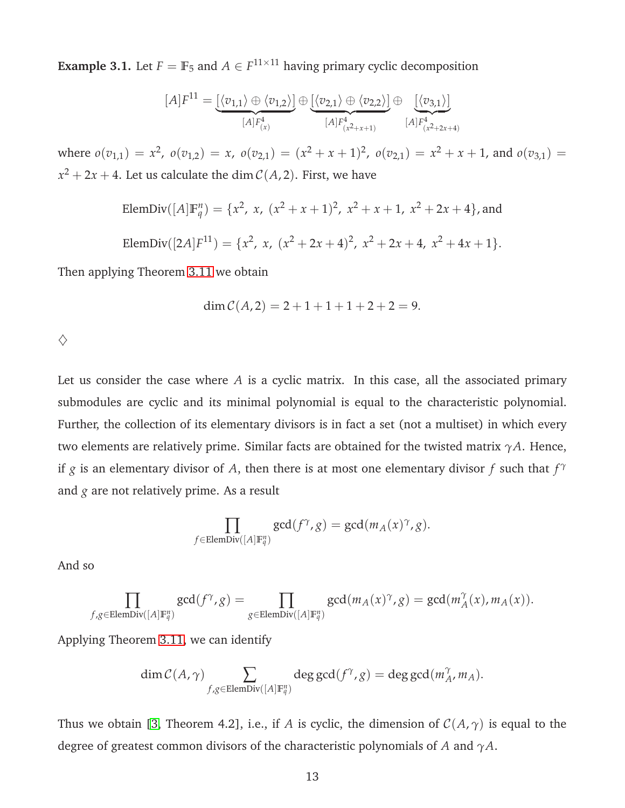**Example 3.1.** Let  $F = \mathbb{F}_5$  and  $A \in F^{11 \times 11}$  having primary cyclic decomposition

$$
[A]F^{11} = \underbrace{[\langle v_{1,1} \rangle \oplus \langle v_{1,2} \rangle]}_{[A]F_{(x)}^4} \oplus \underbrace{[\langle v_{2,1} \rangle \oplus \langle v_{2,2} \rangle]}_{[A]F_{(x^2+x+1)}^4} \oplus \underbrace{[\langle v_{3,1} \rangle]}_{[A]F_{(x^2+2x+4)}^4}
$$

where  $o(v_{1,1}) = x^2$ ,  $o(v_{1,2}) = x$ ,  $o(v_{2,1}) = (x^2 + x + 1)^2$ ,  $o(v_{2,1}) = x^2 + x + 1$ , and  $o(v_{3,1}) = x^3 + x + 1$  $x^2 + 2x + 4$ . Let us calculate the dim  $\mathcal{C}(A,2)$ . First, we have

ElemDiv(
$$
[A]
$$
 $\mathbb{F}_q^n$ ) = { $x^2$ ,  $x$ ,  $(x^2 + x + 1)^2$ ,  $x^2 + x + 1$ ,  $x^2 + 2x + 4$ }, and  
\nElemDiv( $[2A]F^{11}$ ) = { $x^2$ ,  $x$ ,  $(x^2 + 2x + 4)^2$ ,  $x^2 + 2x + 4$ ,  $x^2 + 4x + 1$  }.

Then applying Theorem [3.11](#page-11-1) we obtain

$$
\dim \mathcal{C}(A,2) = 2 + 1 + 1 + 1 + 2 + 2 = 9.
$$

 $\diamondsuit$ 

Let us consider the case where *A* is a cyclic matrix. In this case, all the associated primary submodules are cyclic and its minimal polynomial is equal to the characteristic polynomial. Further, the collection of its elementary divisors is in fact a set (not a multiset) in which every two elements are relatively prime. Similar facts are obtained for the twisted matrix *γA*. Hence, if *g* is an elementary divisor of *A*, then there is at most one elementary divisor *f* such that *f γ* and *g* are not relatively prime. As a result

$$
\prod_{f \in \text{ElemDiv}([A]\mathbb{F}_q^n)} \gcd(f^\gamma, g) = \gcd(m_A(x)^\gamma, g).
$$

And so

$$
\prod_{f,g\in \text{ElemDiv}([A]\mathbb{F}_q^n)} \text{gcd}(f^\gamma,g)=\prod_{g\in \text{ElemDiv}([A]\mathbb{F}_q^n)} \text{gcd}(m_A(x)^\gamma,g)=\text{gcd}(m_A^\gamma(x),m_A(x)).
$$

Applying Theorem [3.11,](#page-11-1) we can identify

$$
\dim \mathcal{C}(A, \gamma) \sum_{f,g \in \text{ElemDiv}([A]\mathbb{F}_q^n)} \deg \gcd(f^\gamma, g) = \deg \gcd(m^\gamma_A, m_A).
$$

Thus we obtain [\[3,](#page-19-2) Theorem 4.2], i.e., if *A* is cyclic, the dimension of  $C(A, \gamma)$  is equal to the degree of greatest common divisors of the characteristic polynomials of *A* and *γA*.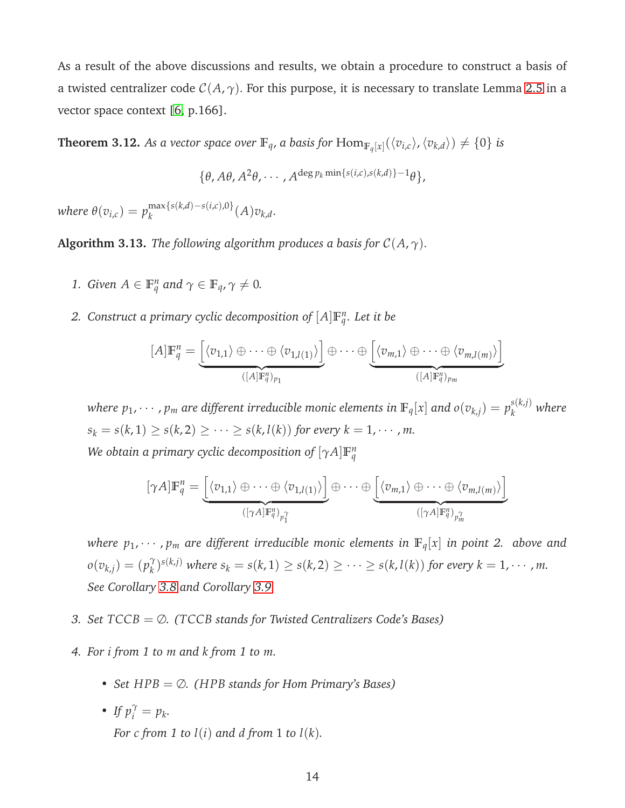As a result of the above discussions and results, we obtain a procedure to construct a basis of a twisted centralizer code  $C(A, \gamma)$ . For this purpose, it is necessary to translate Lemma [2.5](#page-5-0) in a vector space context [\[6,](#page-20-1) p.166].

<span id="page-13-0"></span>**Theorem 3.12.** As a vector space over  $\mathbb{F}_q$ , a basis for  $\text{Hom}_{\mathbb{F}_q[x]}(\langle v_{i,c}\rangle,\langle v_{k,d}\rangle) \neq \{0\}$  is

 $\{\theta, A\theta, A^2\theta, \cdots, A^{\deg p_k \min\{s(i,c), s(k,d)\}-1}\theta\},$ 

 $where \ \theta(v_{i,c}) = p_k^{\max\{s(k,d)-s(i,c),0\}}$  $\int_{k}^{R} k^{(k,\mu)-s(\iota,\iota),\upsilon} (A) v_{k,d}.$ 

**Algorithm 3.13.** *The following algorithm produces a basis for*  $C(A, \gamma)$ *.* 

- *1. Given*  $A \in \mathbb{F}_q^n$  *and*  $\gamma \in \mathbb{F}_q$ ,  $\gamma \neq 0$ *.*
- 2. Construct a primary cyclic decomposition of  $[A]\mathbb{F}_q^n$ . Let it be

$$
[A]\mathbb{F}_q^n = \underbrace{\left[ \langle v_{1,1} \rangle \oplus \cdots \oplus \langle v_{1,l(1)} \rangle \right]}_{([A]\mathbb{F}_q^n)_{p_1}} \oplus \cdots \oplus \underbrace{\left[ \langle v_{m,1} \rangle \oplus \cdots \oplus \langle v_{m,l(m)} \rangle \right]}_{([A]\mathbb{F}_q^n)_{p_m}}
$$

*where*  $p_1, \cdots, p_m$  *are different irreducible monic elements in*  $\mathbb{F}_q[x]$  *and*  $o(v_{k,j}) = p_k^{s(k,j)}$ *k where*  $s_k = s(k, 1) \ge s(k, 2) \ge \cdots \ge s(k, l(k))$  for every  $k = 1, \cdots, m$ .

*We obtain a primary cyclic decomposition of*  $[\gamma A]\mathbb{F}_q^n$ 

$$
[\gamma A]\mathbb{F}_q^n = \underbrace{\left[ \langle v_{1,1} \rangle \oplus \cdots \oplus \langle v_{1,l(1)} \rangle \right]}_{([\gamma A]\mathbb{F}_q^n)_{p_1^n}} \oplus \cdots \oplus \underbrace{\left[ \langle v_{m,1} \rangle \oplus \cdots \oplus \langle v_{m,l(m)} \rangle \right]}_{([\gamma A]\mathbb{F}_q^n)_{p_m^n}}
$$

*where*  $p_1, \dots, p_m$  *are different irreducible monic elements in*  $\mathbb{F}_q[x]$  *in point 2. above and*  $o(v_{k,j}) = (p_k^{\gamma})$  $\binom{\gamma}{k}$ <sup>*s*(*k,j*)</sub> where  $s_k = s(k, 1) \ge s(k, 2) \ge \cdots \ge s(k, l(k))$  for every  $k = 1, \cdots, m$ .</sup> *See Corollary [3.8](#page-9-1) and Corollary [3.9.](#page-10-1)*

- *3. Set TCCB* = ∅*. (TCCB stands for Twisted Centralizers Code's Bases)*
- *4. For i from 1 to m and k from 1 to m.*
	- *Set HPB* = ∅*. (HPB stands for Hom Primary's Bases)*
	- *If*  $p_i^{\gamma} = p_k$ . *For c from* 1 *to*  $l(i)$  *and d from* 1 *to*  $l(k)$ *.*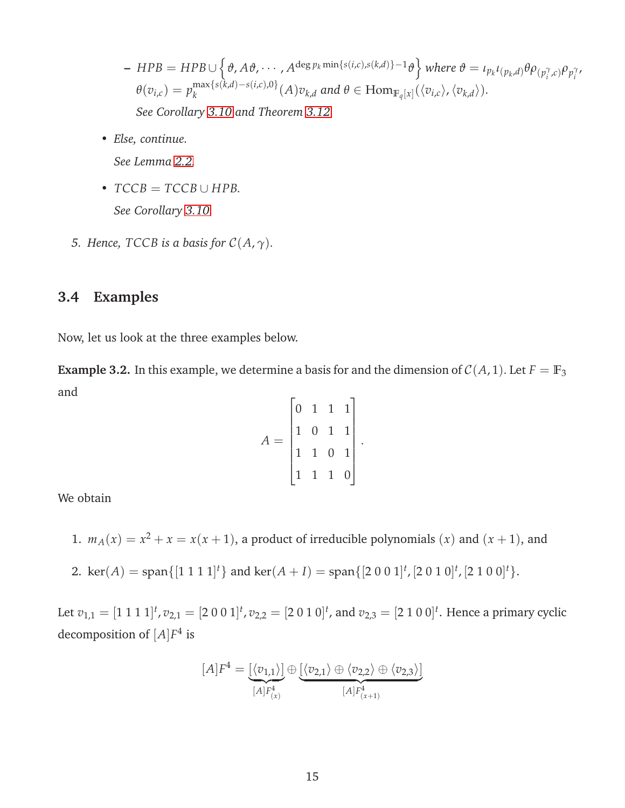- $HPB = HPB \cup \left\{\vartheta, A\vartheta, \cdots, A^{\deg p_k \min\{s(i,c),s(k,d)\}-1} \vartheta\right\}$  where  $\vartheta = \iota_{p_k} \iota_{(p_k, d)} \theta \rho_{(p_i^{\gamma}, c)} \rho_{p_i^{\gamma}},$  $\theta(v_{i,c}) = p_k^{\max\{s(k,d)-s(i,c),0\}}$  $\int_{k}^{Hd}$  *k*<sub>*k*</sub><sup>*d*</sup>  $\langle v_{i,c} \rangle$ *,*  $\langle v_{k,d} \rangle$  *(A)*  $v_{k,d}$  and  $\theta \in \text{Hom}_{\mathbb{F}_q[x]}(\langle v_{i,c} \rangle$ ,  $\langle v_{k,d} \rangle$ ). *See Corollary 3.10 and Theorem [3.12.](#page-13-0)*
- *Else, continue.*

*See Lemma [2.2.](#page-3-1)*

- $TCCB = TCCB \cup HPB$ . *See Corollary 3.10.*
- *5. Hence,*  $TCCB$  *is a basis for*  $C(A, \gamma)$ *.*

### **3.4 Examples**

Now, let us look at the three examples below.

<span id="page-14-0"></span>**Example 3.2.** In this example, we determine a basis for and the dimension of  $C(A, 1)$ . Let  $F = \mathbb{F}_3$ and

$$
A = \begin{bmatrix} 0 & 1 & 1 & 1 \\ 1 & 0 & 1 & 1 \\ 1 & 1 & 0 & 1 \\ 1 & 1 & 1 & 0 \end{bmatrix}
$$

.

We obtain

- 1.  $m_A(x) = x^2 + x = x(x+1)$ , a product of irreducible polynomials (*x*) and (*x* + 1), and
- 2.  $\ker(A) = \text{span}\{[1\ 1\ 1\ 1]^t\}$  and  $\ker(A + I) = \text{span}\{[2\ 0\ 0\ 1]^t, [2\ 0\ 1\ 0]^t, [2\ 1\ 0\ 0]^t\}.$

Let  $v_{1,1} = [1\ 1\ 1\ 1]^t$  ,  $v_{2,1} = [2\ 0\ 0\ 1]^t$  ,  $v_{2,2} = [2\ 0\ 1\ 0]^t$  , and  $v_{2,3} = [2\ 1\ 0\ 0]^t$  . Hence a primary cyclic decomposition of [*A*]*F* 4 is

$$
[A]F^4 = \underbrace{[\langle v_{1,1} \rangle]}_{[A]F^4_{(x)}} \oplus \underbrace{[\langle v_{2,1} \rangle \oplus \langle v_{2,2} \rangle \oplus \langle v_{2,3} \rangle]}_{[A]F^4_{(x+1)}}
$$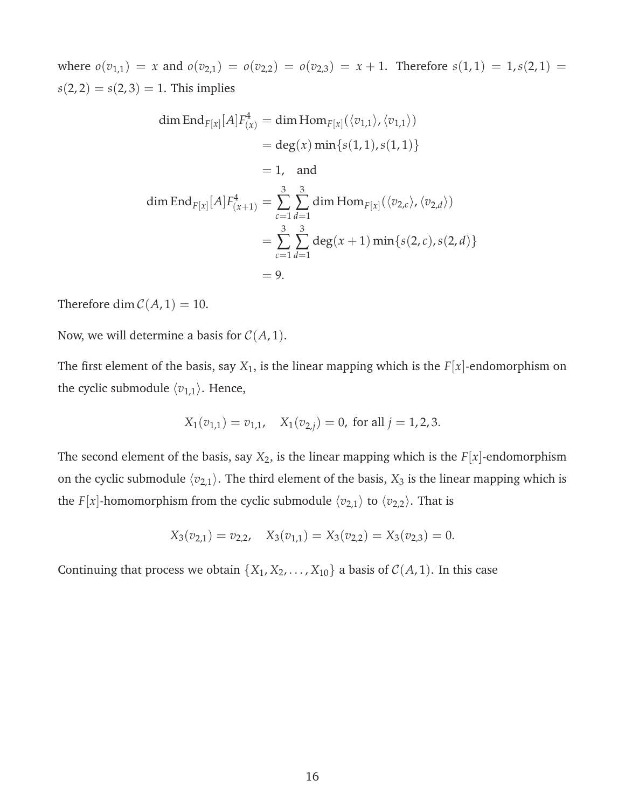where  $o(v_{1,1}) = x$  and  $o(v_{2,1}) = o(v_{2,2}) = o(v_{2,3}) = x + 1$ . Therefore  $s(1,1) = 1$ ,  $s(2,1) =$  $s(2, 2) = s(2, 3) = 1$ . This implies

dim End<sub>F[x]</sub>[A]
$$
F_{(x)}^4
$$
 = dim Hom<sub>F[x]</sub>( $\langle v_{1,1} \rangle$ ,  $\langle v_{1,1} \rangle$ )  
\n= deg(x) min{s(1, 1), s(1, 1)}  
\n= 1, and  
\ndim End<sub>F[x]</sub>[A] $F_{(x+1)}^4$  =  $\sum_{c=1}^3 \sum_{d=1}^3 \dim \text{Hom}_{F[x]}(\langle v_{2,c} \rangle, \langle v_{2,d} \rangle)$   
\n=  $\sum_{c=1}^3 \sum_{d=1}^3 \deg(x + 1) \min \{s(2, c), s(2, d)\}$   
\n= 9.

Therefore dim  $C(A, 1) = 10$ .

Now, we will determine a basis for  $C(A, 1)$ .

The first element of the basis, say  $X_1$ , is the linear mapping which is the  $F[x]$ -endomorphism on the cyclic submodule  $\langle v_{1,1} \rangle$ . Hence,

$$
X_1(v_{1,1}) = v_{1,1}, \quad X_1(v_{2,j}) = 0
$$
, for all  $j = 1, 2, 3$ .

The second element of the basis, say  $X_2$ , is the linear mapping which is the  $F[x]$ -endomorphism on the cyclic submodule  $\langle v_{2,1} \rangle$ . The third element of the basis,  $X_3$  is the linear mapping which is the *F*[*x*]-homomorphism from the cyclic submodule  $\langle v_{2,1} \rangle$  to  $\langle v_{2,2} \rangle$ . That is

$$
X_3(v_{2,1}) = v_{2,2}, \quad X_3(v_{1,1}) = X_3(v_{2,2}) = X_3(v_{2,3}) = 0.
$$

Continuing that process we obtain  $\{X_1, X_2, \ldots, X_{10}\}$  a basis of  $C(A, 1)$ . In this case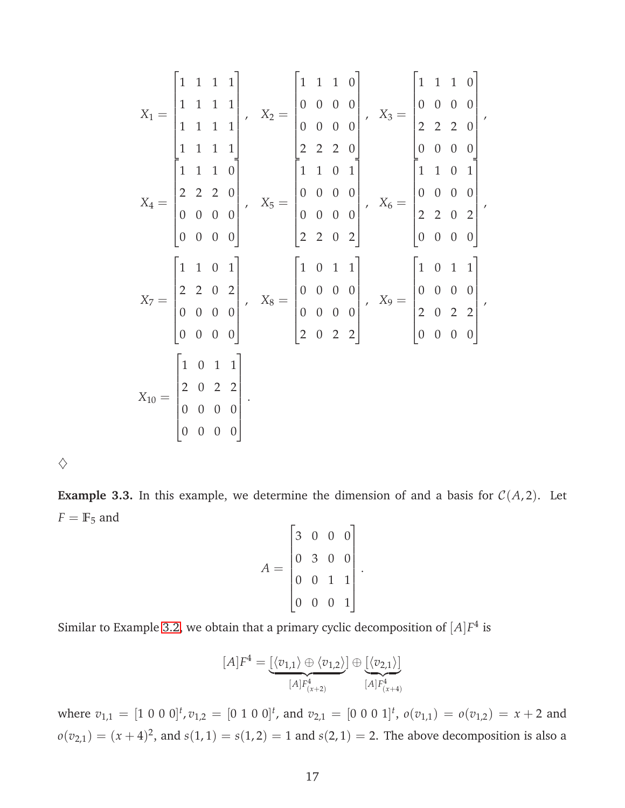$$
X_1 = \begin{bmatrix} 1 & 1 & 1 & 1 \\ 1 & 1 & 1 & 1 \\ 1 & 1 & 1 & 1 \\ 1 & 1 & 1 & 1 \end{bmatrix}, \quad X_2 = \begin{bmatrix} 1 & 1 & 1 & 0 \\ 0 & 0 & 0 & 0 \\ 0 & 0 & 0 & 0 \\ 2 & 2 & 2 & 0 \\ 2 & 2 & 2 & 0 \\ 0 & 0 & 0 & 0 \\ 0 & 0 & 0 & 0 \end{bmatrix}, \quad X_3 = \begin{bmatrix} 1 & 1 & 1 & 0 \\ 0 & 0 & 0 & 0 \\ 2 & 2 & 2 & 0 \\ 0 & 0 & 0 & 0 \\ 0 & 0 & 0 & 0 \\ 2 & 2 & 0 & 2 \end{bmatrix}, \quad X_4 = \begin{bmatrix} 1 & 1 & 1 & 0 \\ 0 & 0 & 0 & 0 \\ 0 & 0 & 0 & 0 \\ 2 & 2 & 0 & 2 \\ 2 & 0 & 2 \end{bmatrix}, \quad X_5 = \begin{bmatrix} 1 & 1 & 0 & 1 \\ 0 & 0 & 0 & 0 \\ 0 & 0 & 0 & 0 \\ 0 & 0 & 0 & 0 \\ 0 & 0 & 0 & 0 \\ 2 & 0 & 2 & 2 \end{bmatrix}, \quad X_6 = \begin{bmatrix} 1 & 0 & 1 & 1 \\ 0 & 0 & 0 & 0 \\ 0 & 0 & 0 & 0 \\ 2 & 0 & 2 & 2 \\ 2 & 0 & 2 & 2 \end{bmatrix}, \quad X_7 = \begin{bmatrix} 1 & 0 & 1 & 1 \\ 0 & 1 & 1 & 1 \\ 0 & 0 & 0 & 0 \\ 0 & 0 & 0 & 0 \\ 0 & 0 & 0 & 0 \end{bmatrix}, \quad X_8 = \begin{bmatrix} 1 & 0 & 1 & 1 \\ 0 & 1 & 1 & 1 \\ 0 & 0 & 0 & 0 \\ 2 & 0 & 2 & 2 \\ 0 & 0 & 0 & 0 \end{bmatrix}
$$

 $\Diamond$ 

**Example 3.3.** In this example, we determine the dimension of and a basis for  $C(A, 2)$ . Let  $F = \mathbb{F}_5$  and

$$
A = \begin{bmatrix} 3 & 0 & 0 & 0 \\ 0 & 3 & 0 & 0 \\ 0 & 0 & 1 & 1 \\ 0 & 0 & 0 & 1 \end{bmatrix}.
$$

Similar to Example [3.2,](#page-14-0) we obtain that a primary cyclic decomposition of  $[A]F^4$  is

$$
[A]F^4 = \underbrace{[\langle v_{1,1} \rangle \oplus \langle v_{1,2} \rangle]}_{[A]F^4_{(x+2)}} \oplus \underbrace{[\langle v_{2,1} \rangle]}_{[A]F^4_{(x+4)}}
$$

where  $v_{1,1} = [1 \ 0 \ 0 \ 0]^t$ ,  $v_{1,2} = [0 \ 1 \ 0 \ 0]^t$ , and  $v_{2,1} = [0 \ 0 \ 0 \ 1]^t$ ,  $o(v_{1,1}) = o(v_{1,2}) = x + 2$  and  $\rho(v_{2,1}) = (x + 4)^2$ , and  $s(1, 1) = s(1, 2) = 1$  and  $s(2, 1) = 2$ . The above decomposition is also a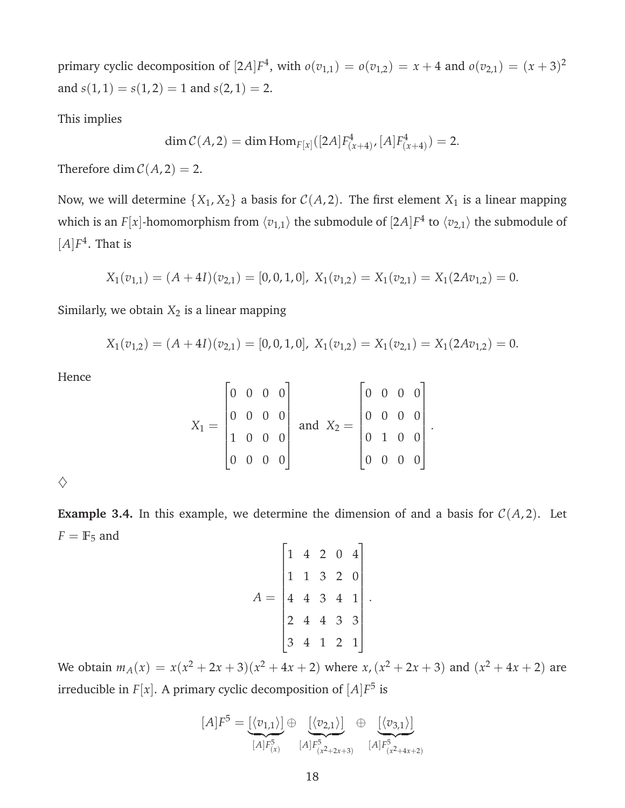primary cyclic decomposition of  $[2A]F^4$ , with  $o(v_{1,1}) = o(v_{1,2}) = x + 4$  and  $o(v_{2,1}) = (x + 3)^2$ and  $s(1, 1) = s(1, 2) = 1$  and  $s(2, 1) = 2$ .

This implies

$$
\dim \mathcal{C}(A,2) = \dim \text{Hom}_{F[x]}([2A]F_{(x+4)}^4, [A]F_{(x+4)}^4) = 2.
$$

Therefore dim  $C(A, 2) = 2$ .

Now, we will determine  $\{X_1, X_2\}$  a basis for  $C(A, 2)$ . The first element  $X_1$  is a linear mapping which is an  $F[x]$ -homomorphism from  $\langle v_{1,1}\rangle$  the submodule of  $[2A]F^4$  to  $\langle v_{2,1}\rangle$  the submodule of  $[A]F^4$ . That is

$$
X_1(v_{1,1})=(A+4I)(v_{2,1})=[0,0,1,0],\ X_1(v_{1,2})=X_1(v_{2,1})=X_1(2Av_{1,2})=0.
$$

Similarly, we obtain  $X_2$  is a linear mapping

$$
X_1(v_{1,2}) = (A + 4I)(v_{2,1}) = [0, 0, 1, 0], \ X_1(v_{1,2}) = X_1(v_{2,1}) = X_1(2Av_{1,2}) = 0.
$$

Hence

$$
X_1 = \begin{bmatrix} 0 & 0 & 0 & 0 \\ 0 & 0 & 0 & 0 \\ 1 & 0 & 0 & 0 \\ 0 & 0 & 0 & 0 \end{bmatrix} \text{ and } X_2 = \begin{bmatrix} 0 & 0 & 0 & 0 \\ 0 & 0 & 0 & 0 \\ 0 & 1 & 0 & 0 \\ 0 & 0 & 0 & 0 \end{bmatrix}
$$

.

 $\Diamond$ 

**Example 3.4.** In this example, we determine the dimension of and a basis for  $C(A, 2)$ . Let  $F = \mathbb{F}_5$  and

$$
A = \begin{bmatrix} 1 & 4 & 2 & 0 & 4 \\ 1 & 1 & 3 & 2 & 0 \\ 4 & 4 & 3 & 4 & 1 \\ 2 & 4 & 4 & 3 & 3 \\ 3 & 4 & 1 & 2 & 1 \end{bmatrix}.
$$

We obtain  $m_A(x) = x(x^2 + 2x + 3)(x^2 + 4x + 2)$  where  $x, (x^2 + 2x + 3)$  and  $(x^2 + 4x + 2)$  are irreducible in  $F[x]$ . A primary cyclic decomposition of  $[A]F^5$  is

$$
[A]F^{5} = \underbrace{[\langle v_{1,1} \rangle]}_{[A]F^{5}_{(x)}} \oplus \underbrace{[\langle v_{2,1} \rangle]}_{[A]F^{5}_{(x^{2}+2x+3)}} \oplus \underbrace{[\langle v_{3,1} \rangle]}_{[A]F^{5}_{(x^{2}+4x+2)}}
$$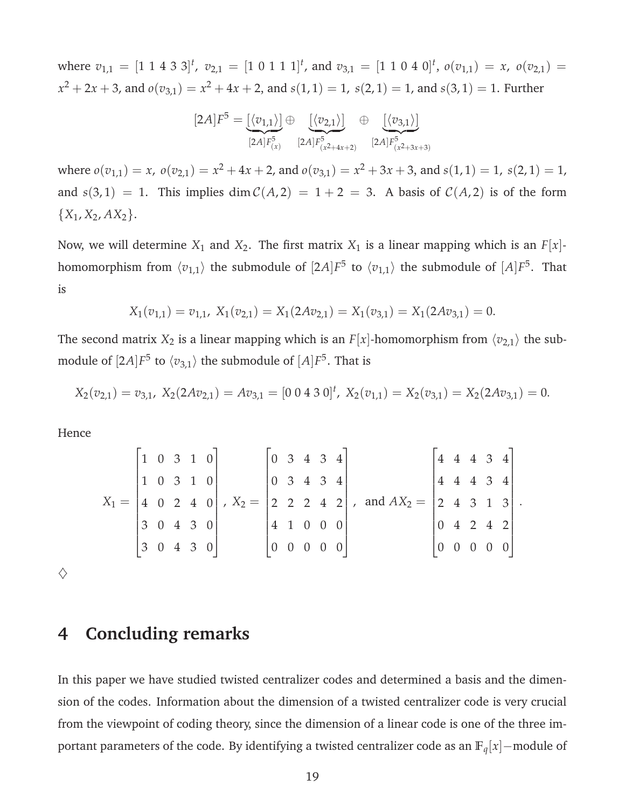where  $v_{1,1} = [1 \ 1 \ 4 \ 3 \ 3]^t$ ,  $v_{2,1} = [1 \ 0 \ 1 \ 1 \ 1]^t$ , and  $v_{3,1} = [1 \ 1 \ 0 \ 4 \ 0]^t$ ,  $o(v_{1,1}) = x$ ,  $o(v_{2,1}) =$  $x^2 + 2x + 3$ , and  $o(v_{3,1}) = x^2 + 4x + 2$ , and  $s(1,1) = 1$ ,  $s(2,1) = 1$ , and  $s(3,1) = 1$ . Further

$$
[2A]F^5 = \underbrace{[\langle v_{1,1} \rangle]}_{[2A]F^5_{(x)}} \oplus \underbrace{[\langle v_{2,1} \rangle]}_{[2A]F^5_{(x^2+4x+2)}} \oplus \underbrace{[\langle v_{3,1} \rangle]}_{[2A]F^5_{(x^2+3x+3)}}
$$

where  $o(v_{1,1}) = x$ ,  $o(v_{2,1}) = x^2 + 4x + 2$ , and  $o(v_{3,1}) = x^2 + 3x + 3$ , and  $s(1,1) = 1$ ,  $s(2,1) = 1$ , and  $s(3,1) = 1$ . This implies dim  $C(A,2) = 1 + 2 = 3$ . A basis of  $C(A,2)$  is of the form  ${X_1, X_2, AX_2}.$ 

Now, we will determine  $X_1$  and  $X_2$ . The first matrix  $X_1$  is a linear mapping which is an  $F[x]$ homomorphism from  $\langle v_{1,1}\rangle$  the submodule of  $[2A]F^5$  to  $\langle v_{1,1}\rangle$  the submodule of  $[A]F^5.$  That is

$$
X_1(v_{1,1}) = v_{1,1}, \ X_1(v_{2,1}) = X_1(2Av_{2,1}) = X_1(v_{3,1}) = X_1(2Av_{3,1}) = 0.
$$

The second matrix  $X_2$  is a linear mapping which is an  $F[x]$ -homomorphism from  $\langle v_{2,1} \rangle$  the submodule of  $[2A]F^5$  to  $\langle v_{3,1}\rangle$  the submodule of  $[A]F^5.$  That is

$$
X_2(v_{2,1})=v_{3,1}, X_2(2Av_{2,1})=Av_{3,1}=[0\ 0\ 4\ 3\ 0]^t, X_2(v_{1,1})=X_2(v_{3,1})=X_2(2Av_{3,1})=0.
$$

Hence

$$
X_1 = \begin{bmatrix} 1 & 0 & 3 & 1 & 0 \\ 1 & 0 & 3 & 1 & 0 \\ 4 & 0 & 2 & 4 & 0 \\ 3 & 0 & 4 & 3 & 0 \\ 3 & 0 & 4 & 3 & 0 \end{bmatrix}, X_2 = \begin{bmatrix} 0 & 3 & 4 & 3 & 4 \\ 0 & 3 & 4 & 3 & 4 \\ 2 & 2 & 2 & 4 & 2 \\ 4 & 1 & 0 & 0 & 0 \\ 0 & 0 & 0 & 0 & 0 \end{bmatrix}, \text{ and } AX_2 = \begin{bmatrix} 4 & 4 & 4 & 3 & 4 \\ 4 & 4 & 4 & 3 & 4 \\ 2 & 4 & 3 & 1 & 3 \\ 0 & 4 & 2 & 4 & 2 \\ 0 & 0 & 0 & 0 & 0 \end{bmatrix}.
$$

 $\diamondsuit$ 

### **4 Concluding remarks**

In this paper we have studied twisted centralizer codes and determined a basis and the dimension of the codes. Information about the dimension of a twisted centralizer code is very crucial from the viewpoint of coding theory, since the dimension of a linear code is one of the three important parameters of the code. By identifying a twisted centralizer code as an **F***q*[*x*]−module of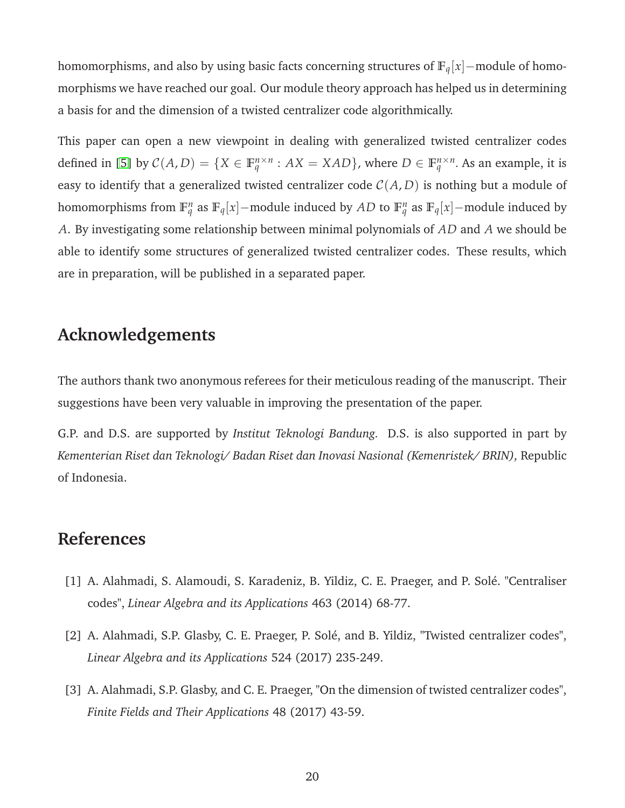homomorphisms, and also by using basic facts concerning structures of **F***q*[*x*]−module of homomorphisms we have reached our goal. Our module theory approach has helped us in determining a basis for and the dimension of a twisted centralizer code algorithmically.

This paper can open a new viewpoint in dealing with generalized twisted centralizer codes defined in [\[5\]](#page-20-2) by  $C(A, D) = \{X \in \mathbb{F}_q^{n \times n} : AX = XAD\}$ , where  $D \in \mathbb{F}_q^{n \times n}$ . As an example, it is easy to identify that a generalized twisted centralizer code  $C(A, D)$  is nothing but a module of homomorphisms from  $\mathbb{F}_q^n$  as  $\mathbb{F}_q[x]$ –module induced by *AD* to  $\mathbb{F}_q^n$  as  $\mathbb{F}_q[x]$ –module induced by *A*. By investigating some relationship between minimal polynomials of *AD* and *A* we should be able to identify some structures of generalized twisted centralizer codes. These results, which are in preparation, will be published in a separated paper.

# **Acknowledgements**

The authors thank two anonymous referees for their meticulous reading of the manuscript. Their suggestions have been very valuable in improving the presentation of the paper.

G.P. and D.S. are supported by *Institut Teknologi Bandung.* D.S. is also supported in part by *Kementerian Riset dan Teknologi/ Badan Riset dan Inovasi Nasional (Kemenristek/ BRIN),* Republic of Indonesia.

## <span id="page-19-1"></span>**References**

- <span id="page-19-0"></span>[1] A. Alahmadi, S. Alamoudi, S. Karadeniz, B. Yildiz, C. E. Praeger, and P. Solé. "Centraliser codes", *Linear Algebra and its Applications* 463 (2014) 68-77.
- <span id="page-19-2"></span>[2] A. Alahmadi, S.P. Glasby, C. E. Praeger, P. Solé, and B. Yildiz, "Twisted centralizer codes", *Linear Algebra and its Applications* 524 (2017) 235-249.
- [3] A. Alahmadi, S.P. Glasby, and C. E. Praeger, "On the dimension of twisted centralizer codes", *Finite Fields and Their Applications* 48 (2017) 43-59.